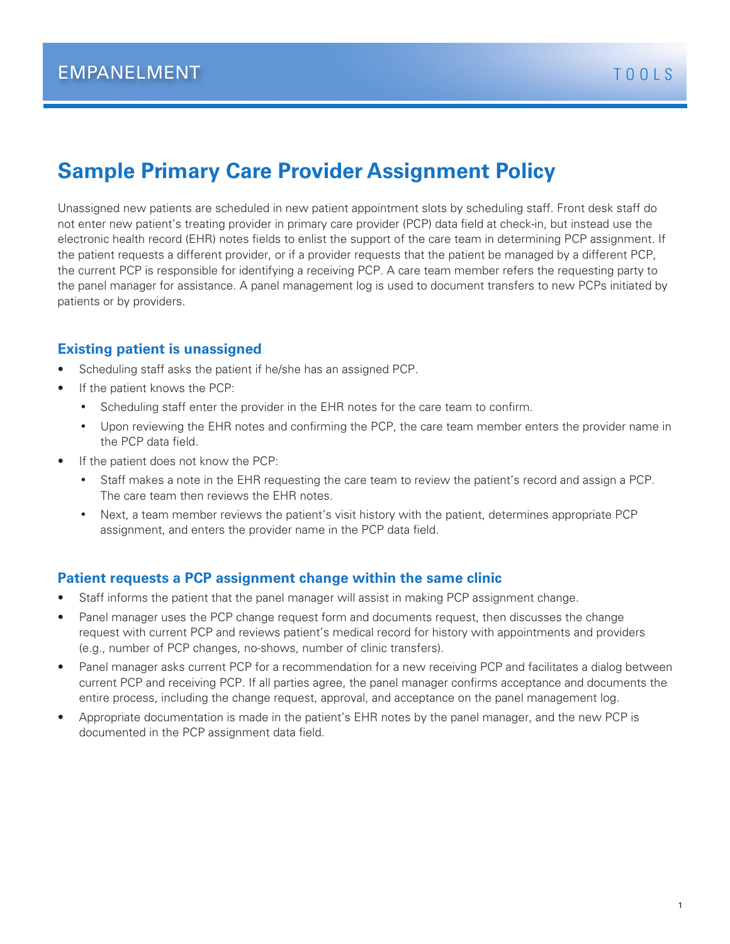# **Sample Primary Care Provider Assignment Policy**

Unassigned new patients are scheduled in new patient appointment slots by scheduling staff. Front desk staff do not enter new patient's treating provider in primary care provider (PCP) data field at check-in, but instead use the electronic health record (EHR) notes fields to enlist the support of the care team in determining PCP assignment. If the patient requests a different provider, or if a provider requests that the patient be managed by a different PCP, the current PCP is responsible for identifying a receiving PCP. A care team member refers the requesting party to the panel manager for assistance. A panel management log is used to document transfers to new PCPs initiated by patients or by providers.

## **Existing patient is unassigned**

- Scheduling staff asks the patient if he/she has an assigned PCP.
- If the patient knows the PCP:
	- Scheduling staff enter the provider in the EHR notes for the care team to confirm.
	- • Upon reviewing the EHR notes and confirming the PCP, the care team member enters the provider name in the PCP data field.
- If the patient does not know the PCP:
	- Staff makes a note in the EHR requesting the care team to review the patient's record and assign a PCP. The care team then reviews the EHR notes.
	- Next, a team member reviews the patient's visit history with the patient, determines appropriate PCP assignment, and enters the provider name in the PCP data field.

## **Patient requests a PCP assignment change within the same clinic**

- Staff informs the patient that the panel manager will assist in making PCP assignment change.
- Panel manager uses the PCP change request form and documents request, then discusses the change request with current PCP and reviews patient's medical record for history with appointments and providers (e.g., number of PCP changes, no-shows, number of clinic transfers).
- Panel manager asks current PCP for a recommendation for a new receiving PCP and facilitates a dialog between current PCP and receiving PCP. If all parties agree, the panel manager confirms acceptance and documents the entire process, including the change request, approval, and acceptance on the panel management log.
- Appropriate documentation is made in the patient's EHR notes by the panel manager, and the new PCP is documented in the PCP assignment data field.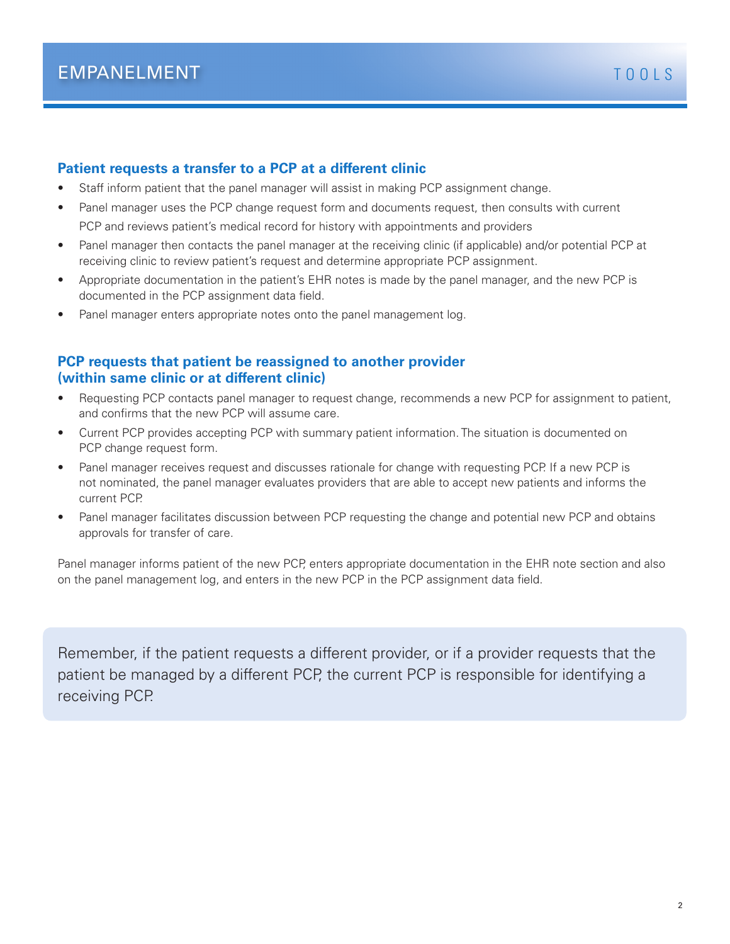#### **Patient requests a transfer to a PCP at a different clinic**

- Staff inform patient that the panel manager will assist in making PCP assignment change.
- Panel manager uses the PCP change request form and documents request, then consults with current PCP and reviews patient's medical record for history with appointments and providers
- Panel manager then contacts the panel manager at the receiving clinic (if applicable) and/or potential PCP at receiving clinic to review patient's request and determine appropriate PCP assignment.
- Appropriate documentation in the patient's EHR notes is made by the panel manager, and the new PCP is documented in the PCP assignment data field.
- Panel manager enters appropriate notes onto the panel management log.

### **PCP requests that patient be reassigned to another provider (within same clinic or at different clinic)**

- Requesting PCP contacts panel manager to request change, recommends a new PCP for assignment to patient, and confirms that the new PCP will assume care.
- Current PCP provides accepting PCP with summary patient information. The situation is documented on PCP change request form.
- Panel manager receives request and discusses rationale for change with requesting PCP. If a new PCP is not nominated, the panel manager evaluates providers that are able to accept new patients and informs the current PCP.
- Panel manager facilitates discussion between PCP requesting the change and potential new PCP and obtains approvals for transfer of care.

Panel manager informs patient of the new PCP, enters appropriate documentation in the EHR note section and also on the panel management log, and enters in the new PCP in the PCP assignment data field.

Remember, if the patient requests a different provider, or if a provider requests that the patient be managed by a different PCP, the current PCP is responsible for identifying a receiving PCP.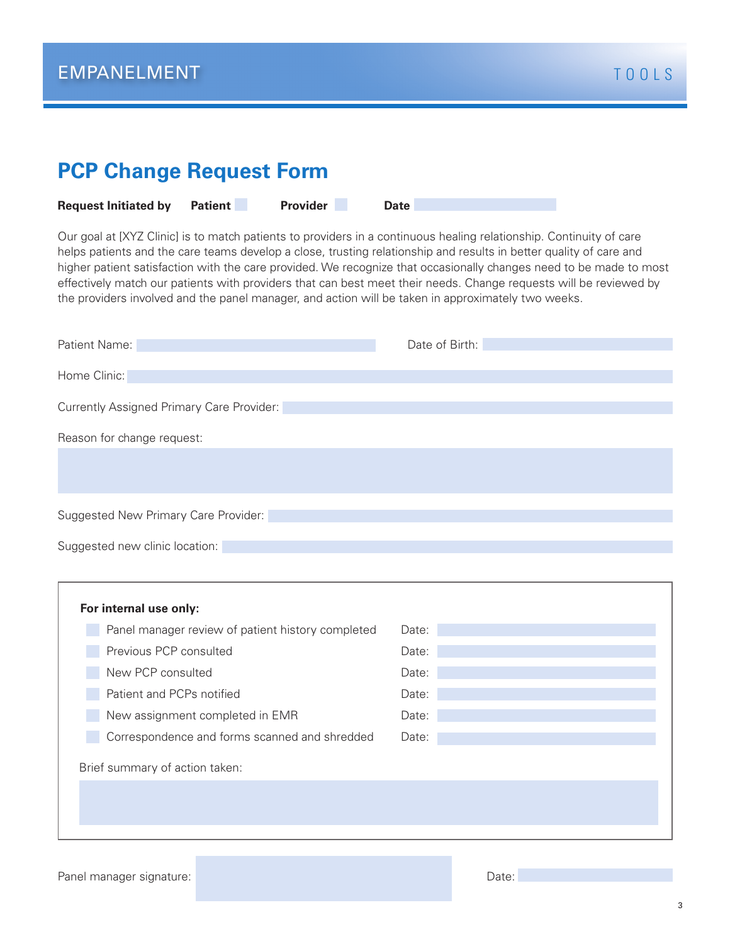| <b>PCP Change Request Form</b>                                                                                                                                                                                                                                                                                                                                                                                                                                                                                                                                                             |                |
|--------------------------------------------------------------------------------------------------------------------------------------------------------------------------------------------------------------------------------------------------------------------------------------------------------------------------------------------------------------------------------------------------------------------------------------------------------------------------------------------------------------------------------------------------------------------------------------------|----------------|
| <b>Provider</b><br><b>Patient</b><br><b>Request Initiated by</b>                                                                                                                                                                                                                                                                                                                                                                                                                                                                                                                           | <b>Date</b>    |
| Our goal at [XYZ Clinic] is to match patients to providers in a continuous healing relationship. Continuity of care<br>helps patients and the care teams develop a close, trusting relationship and results in better quality of care and<br>higher patient satisfaction with the care provided. We recognize that occasionally changes need to be made to most<br>effectively match our patients with providers that can best meet their needs. Change requests will be reviewed by<br>the providers involved and the panel manager, and action will be taken in approximately two weeks. |                |
| Patient Name:                                                                                                                                                                                                                                                                                                                                                                                                                                                                                                                                                                              | Date of Birth: |
| Home Clinic:                                                                                                                                                                                                                                                                                                                                                                                                                                                                                                                                                                               |                |
| Currently Assigned Primary Care Provider:                                                                                                                                                                                                                                                                                                                                                                                                                                                                                                                                                  |                |
|                                                                                                                                                                                                                                                                                                                                                                                                                                                                                                                                                                                            |                |
| Reason for change request:                                                                                                                                                                                                                                                                                                                                                                                                                                                                                                                                                                 |                |
|                                                                                                                                                                                                                                                                                                                                                                                                                                                                                                                                                                                            |                |
|                                                                                                                                                                                                                                                                                                                                                                                                                                                                                                                                                                                            |                |
| Suggested New Primary Care Provider:                                                                                                                                                                                                                                                                                                                                                                                                                                                                                                                                                       |                |
| Suggested new clinic location:                                                                                                                                                                                                                                                                                                                                                                                                                                                                                                                                                             |                |
|                                                                                                                                                                                                                                                                                                                                                                                                                                                                                                                                                                                            |                |
| For internal use only:                                                                                                                                                                                                                                                                                                                                                                                                                                                                                                                                                                     |                |
| Panel manager review of patient history completed                                                                                                                                                                                                                                                                                                                                                                                                                                                                                                                                          | Date:          |
| Previous PCP consulted                                                                                                                                                                                                                                                                                                                                                                                                                                                                                                                                                                     | Date:          |
| New PCP consulted                                                                                                                                                                                                                                                                                                                                                                                                                                                                                                                                                                          | Date:          |
| Patient and PCPs notified                                                                                                                                                                                                                                                                                                                                                                                                                                                                                                                                                                  | Date:          |
| New assignment completed in EMR                                                                                                                                                                                                                                                                                                                                                                                                                                                                                                                                                            | Date:          |
| Correspondence and forms scanned and shredded                                                                                                                                                                                                                                                                                                                                                                                                                                                                                                                                              | Date:          |
| Brief summary of action taken:                                                                                                                                                                                                                                                                                                                                                                                                                                                                                                                                                             |                |
|                                                                                                                                                                                                                                                                                                                                                                                                                                                                                                                                                                                            |                |
|                                                                                                                                                                                                                                                                                                                                                                                                                                                                                                                                                                                            |                |
|                                                                                                                                                                                                                                                                                                                                                                                                                                                                                                                                                                                            |                |

Panel manager signature: New York Changer School and Changer School and Changer School and Changer School and